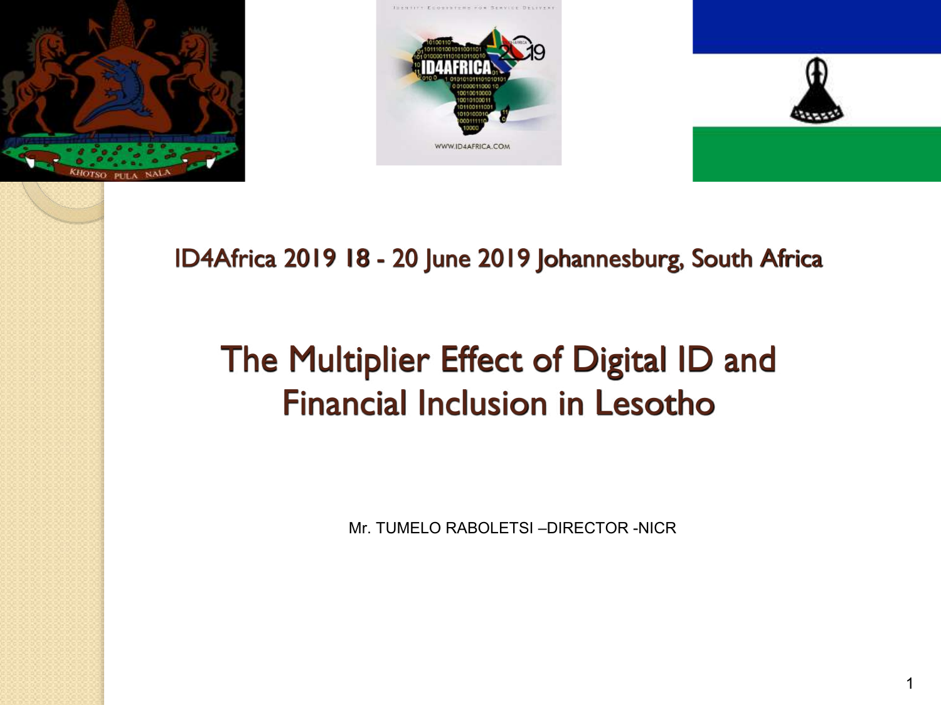





#### ID4Africa 2019 18 - 20 June 2019 Johannesburg, South Africa

## The Multiplier Effect of Digital ID and Financial Inclusion in Lesotho

Mr. TUMELO RABOLETSI –DIRECTOR -NICR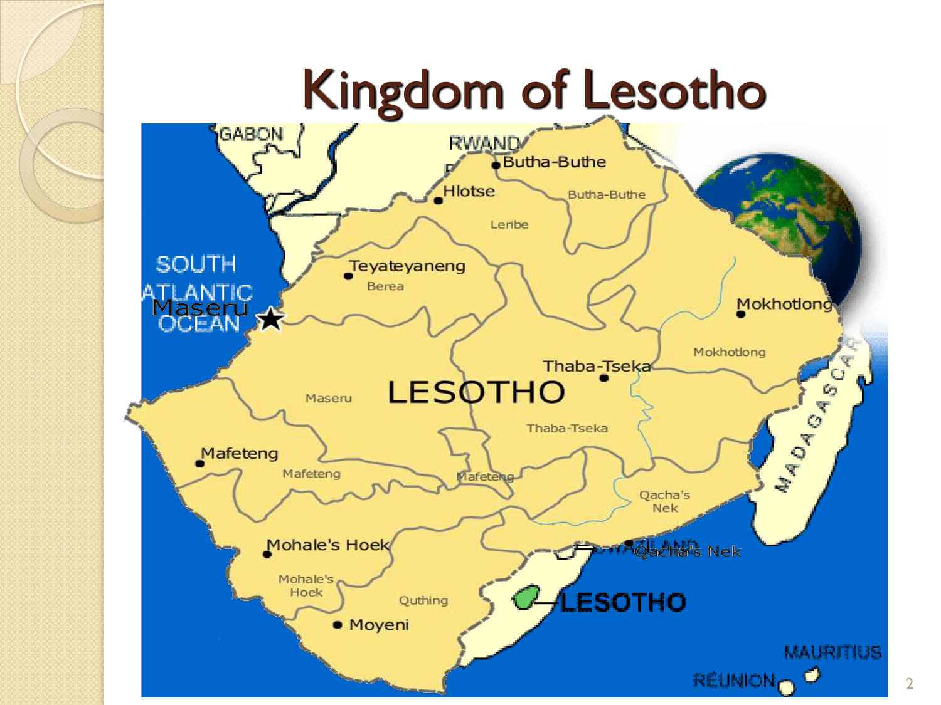# Kingdom of Lesotho

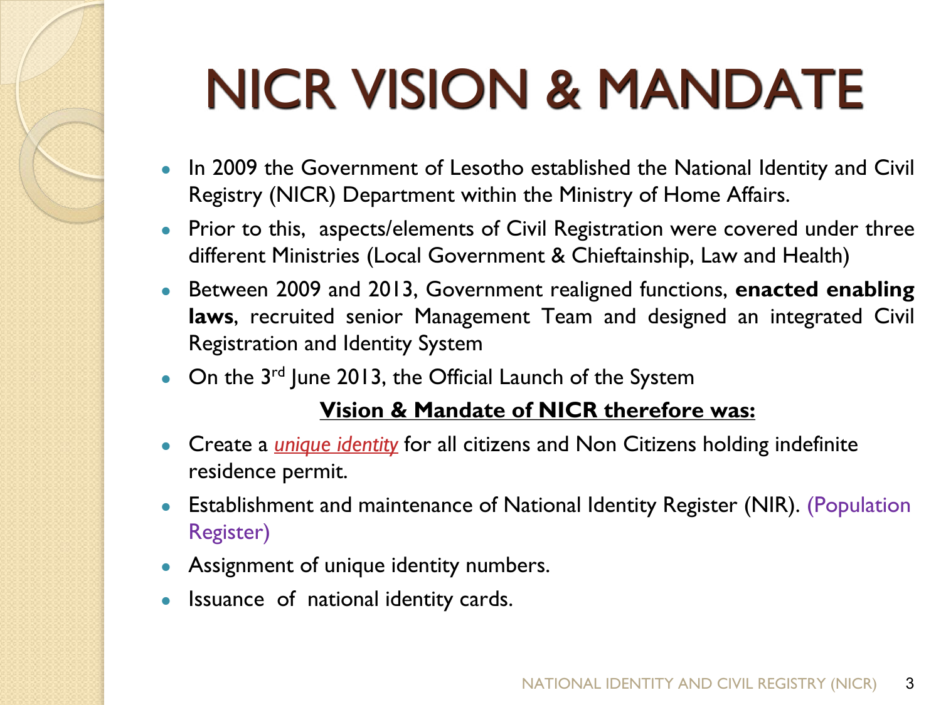# NICR VISION & MANDATE

- In 2009 the Government of Lesotho established the National Identity and Civil Registry (NICR) Department within the Ministry of Home Affairs.
- Prior to this, aspects/elements of Civil Registration were covered under three different Ministries (Local Government & Chieftainship, Law and Health)
- Between 2009 and 2013, Government realigned functions, **enacted enabling laws**, recruited senior Management Team and designed an integrated Civil Registration and Identity System
- On the  $3^{rd}$  June 2013, the Official Launch of the System

#### **Vision & Mandate of NICR therefore was:**

- Create a *unique identity* for all citizens and Non Citizens holding indefinite residence permit.
- Establishment and maintenance of National Identity Register (NIR). (Population Register)
- Assignment of unique identity numbers.
- Issuance of national identity cards.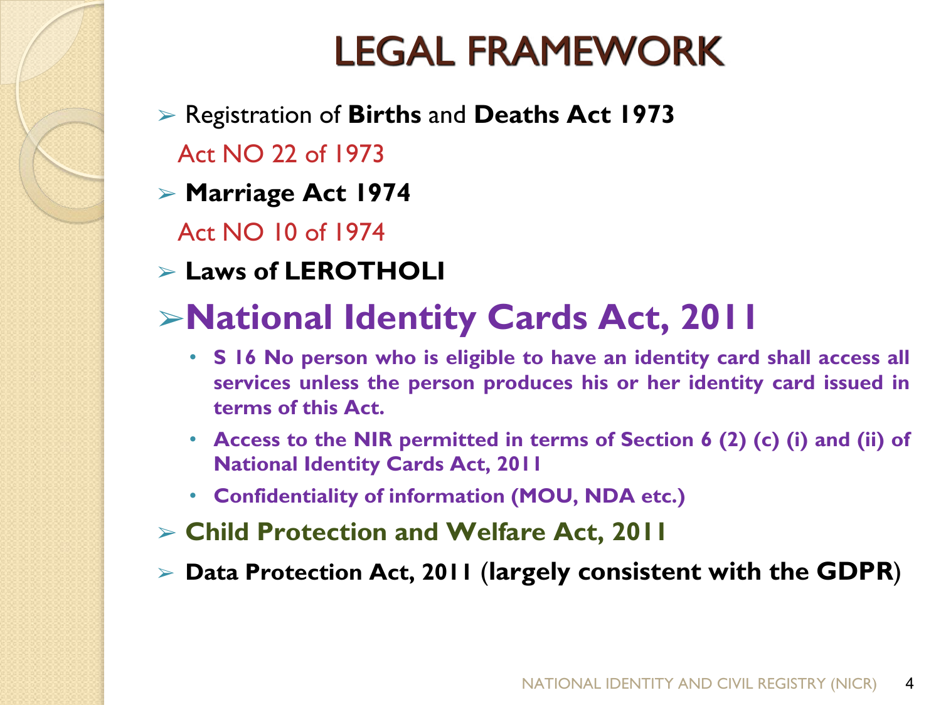## LEGAL FRAMEWORK

- ➢ Registration of **Births** and **Deaths Act 1973**
	- Act NO 22 of 1973
- ➢ **Marriage Act 1974**
	- Act NO 10 of 1974
- ➢ **Laws of LEROTHOLI**
- ➢**National Identity Cards Act, 2011**
	- **S 16 No person who is eligible to have an identity card shall access all services unless the person produces his or her identity card issued in terms of this Act.**
	- **Access to the NIR permitted in terms of Section 6 (2) (c) (i) and (ii) of National Identity Cards Act, 2011**
	- **Confidentiality of information (MOU, NDA etc.)**
- ➢ **Child Protection and Welfare Act, 2011**
- ➢ **Data Protection Act, 2011** (**largely consistent with the GDPR**)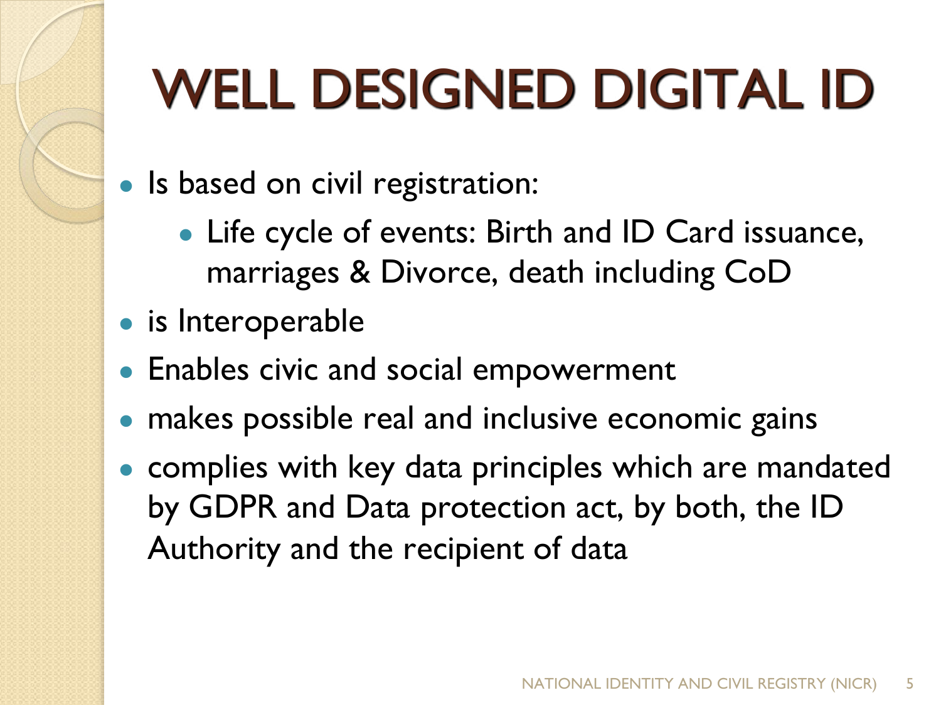# WELL DESIGNED DIGITAL ID

- Is based on civil registration:
	- Life cycle of events: Birth and ID Card issuance, marriages & Divorce, death including CoD
- is Interoperable
- Enables civic and social empowerment
- makes possible real and inclusive economic gains
- complies with key data principles which are mandated by GDPR and Data protection act, by both, the ID Authority and the recipient of data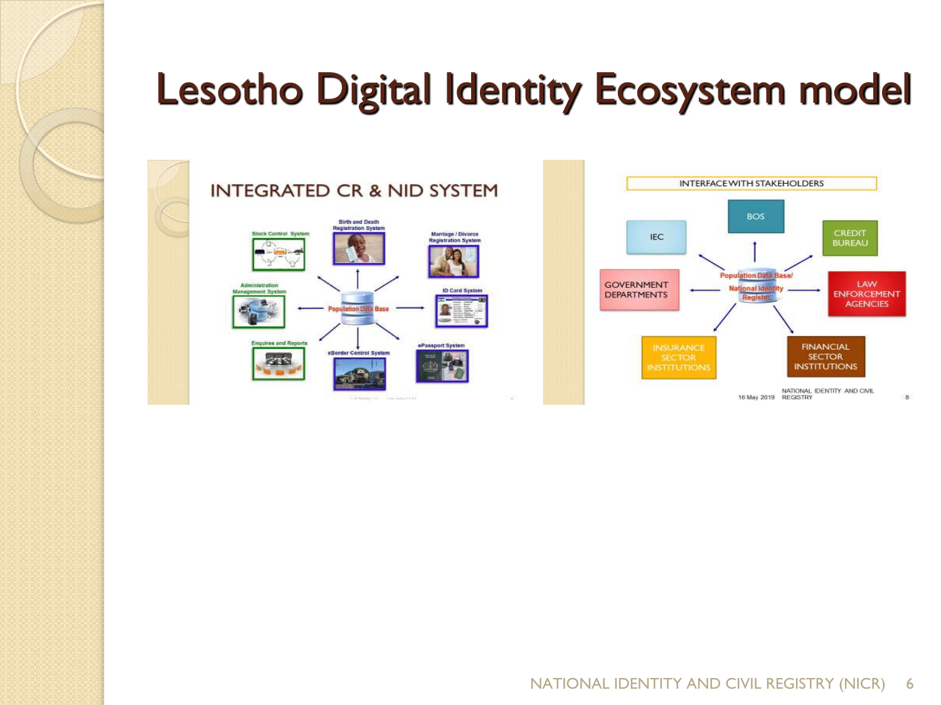



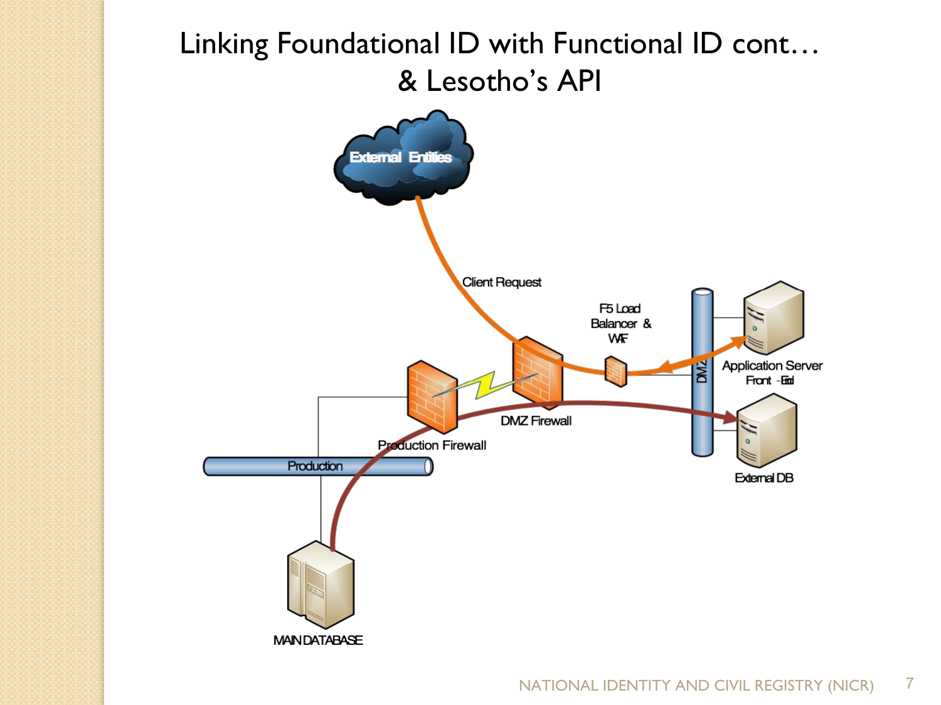### Linking Foundational ID with Functional ID cont… & Lesotho's API

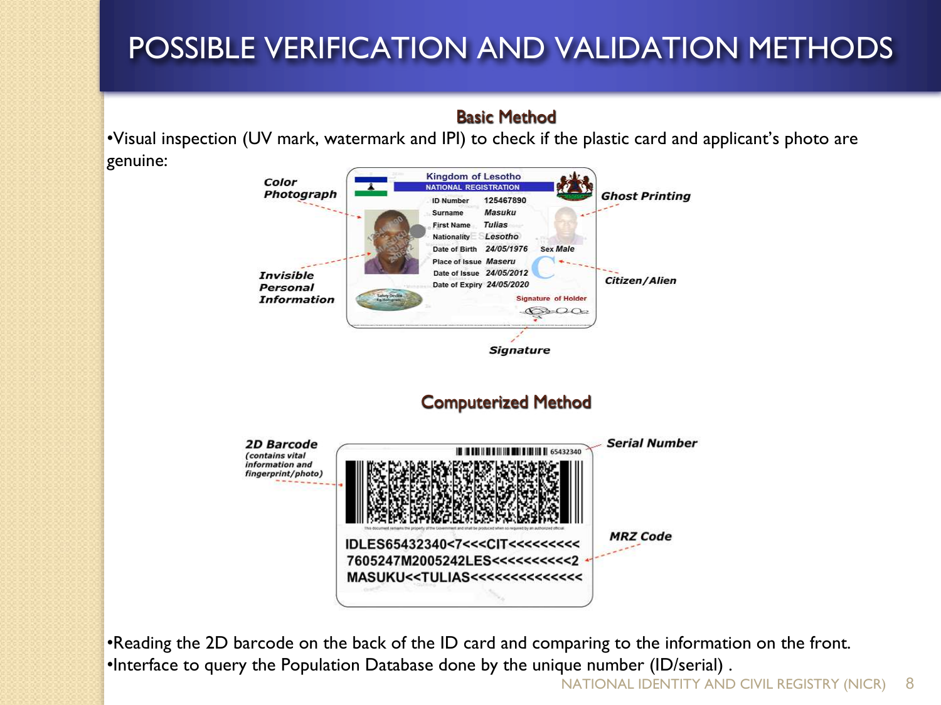### POSSIBLE VERIFICATION AND VALIDATION METHODS

#### Basic Method

•Visual inspection (UV mark, watermark and IPI) to check if the plastic card and applicant's photo are genuine:



•Reading the 2D barcode on the back of the ID card and comparing to the information on the front. •Interface to query the Population Database done by the unique number (ID/serial) .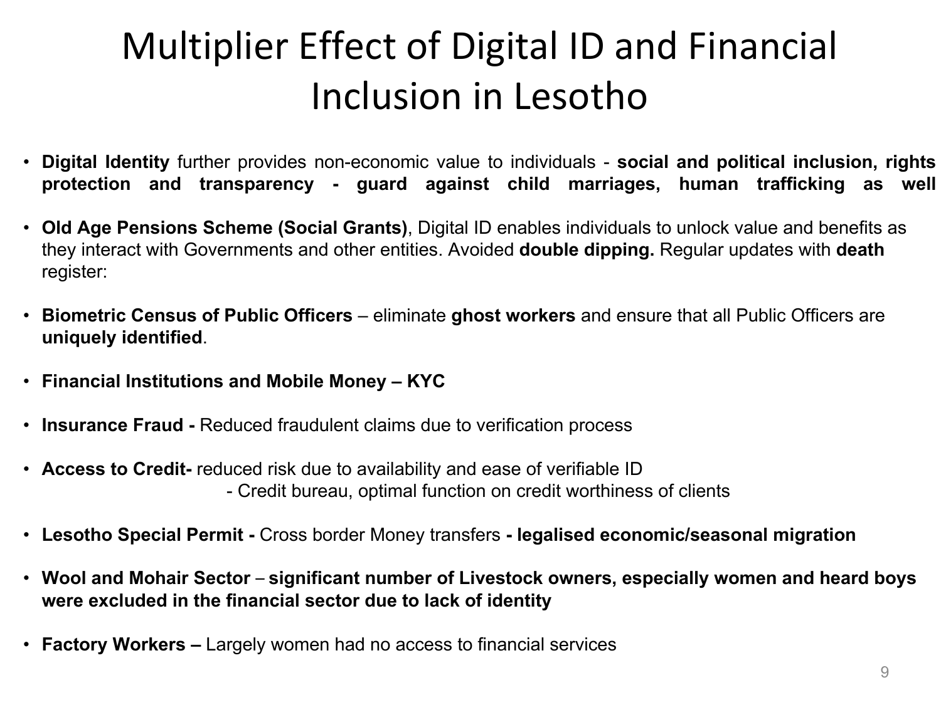## Multiplier Effect of Digital ID and Financial Inclusion in Lesotho

- **Digital Identity** further provides non-economic value to individuals **social and political inclusion, rights protection and transparency - guard against child marriages, human trafficking as well**
- **Old Age Pensions Scheme (Social Grants)**, Digital ID enables individuals to unlock value and benefits as they interact with Governments and other entities. Avoided **double dipping.** Regular updates with **death** register:
- **Biometric Census of Public Officers** eliminate **ghost workers** and ensure that all Public Officers are **uniquely identified**.
- **Financial Institutions and Mobile Money – KYC**
- **Insurance Fraud -** Reduced fraudulent claims due to verification process
- **Access to Credit-** reduced risk due to availability and ease of verifiable ID - Credit bureau, optimal function on credit worthiness of clients
- **Lesotho Special Permit -** Cross border Money transfers **- legalised economic/seasonal migration**
- **Wool and Mohair Sector significant number of Livestock owners, especially women and heard boys were excluded in the financial sector due to lack of identity**
- **Factory Workers –** Largely women had no access to financial services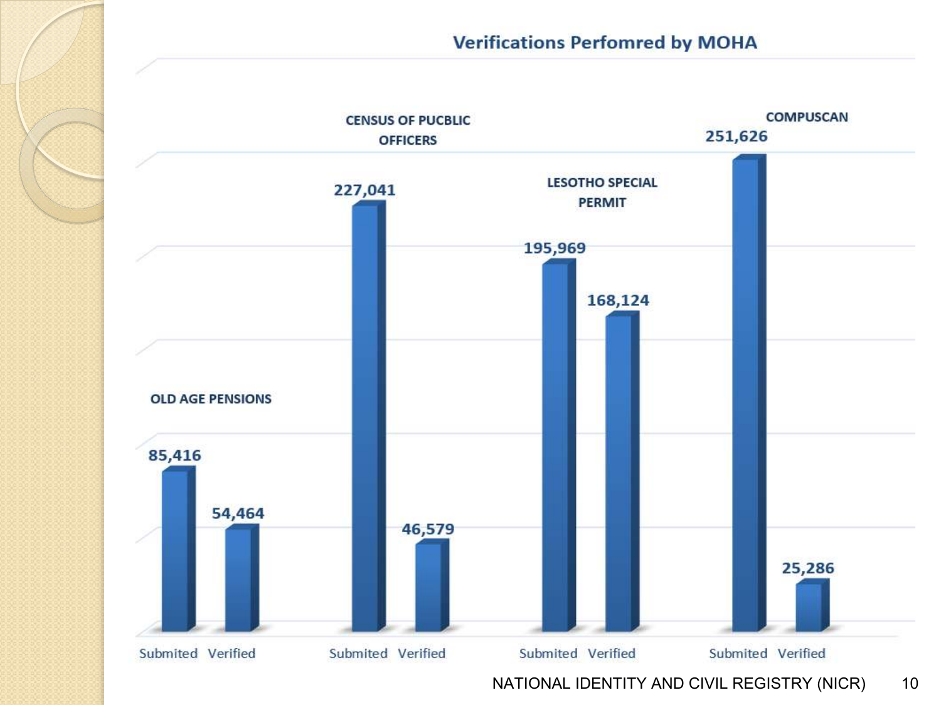

NATIONAL IDENTITY AND CIVIL REGISTRY (NICR) 10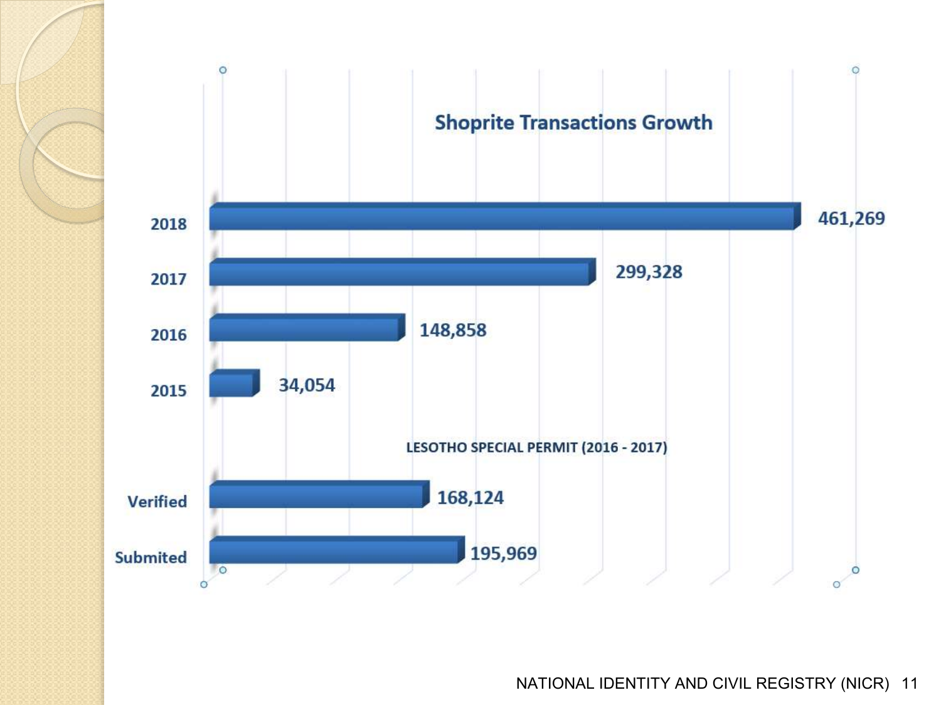